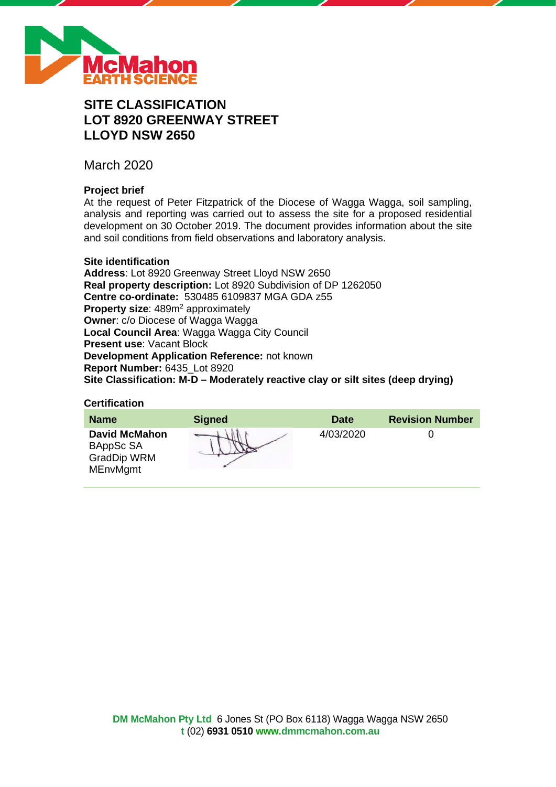

# **SITE CLASSIFICATION LOT 8920 GREENWAY STREET LLOYD NSW 2650**

March 2020

# **Project brief**

At the request of Peter Fitzpatrick of the Diocese of Wagga Wagga, soil sampling, analysis and reporting was carried out to assess the site for a proposed residential development on 30 October 2019. The document provides information about the site and soil conditions from field observations and laboratory analysis.

# **Site identification**

**Address**: Lot 8920 Greenway Street Lloyd NSW 2650 **Real property description:** Lot 8920 Subdivision of DP 1262050 **Centre co-ordinate:** 530485 6109837 MGA GDA z55 **Property size:** 489m<sup>2</sup> approximately **Owner**: c/o Diocese of Wagga Wagga **Local Council Area**: Wagga Wagga City Council **Present use**: Vacant Block **Development Application Reference:** not known **Report Number:** 6435\_Lot 8920 **Site Classification: M-D – Moderately reactive clay or silt sites (deep drying)**

### **Certification**

| <b>Name</b>                                                                | <b>Signed</b> | <b>Date</b> | <b>Revision Number</b> |
|----------------------------------------------------------------------------|---------------|-------------|------------------------|
| <b>David McMahon</b><br>BAppSc SA<br><b>GradDip WRM</b><br><b>MEnvMgmt</b> |               | 4/03/2020   |                        |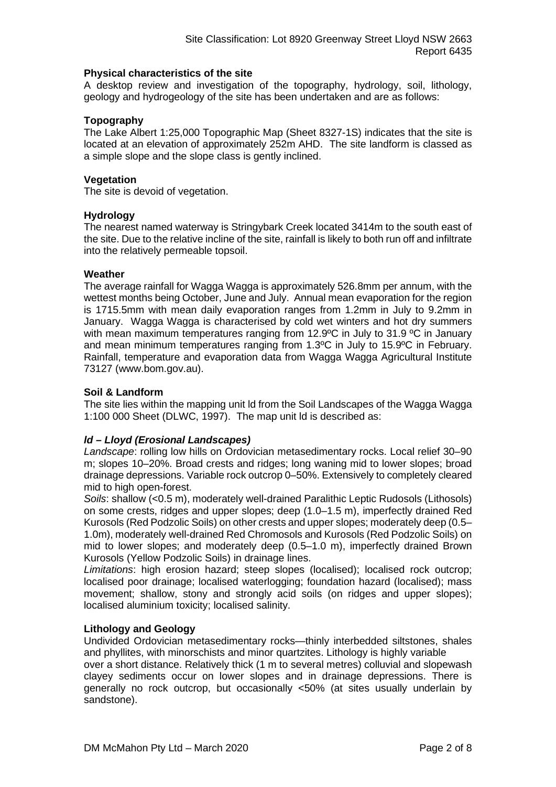# **Physical characteristics of the site**

A desktop review and investigation of the topography, hydrology, soil, lithology, geology and hydrogeology of the site has been undertaken and are as follows:

# **Topography**

The Lake Albert 1:25,000 Topographic Map (Sheet 8327-1S) indicates that the site is located at an elevation of approximately 252m AHD. The site landform is classed as a simple slope and the slope class is gently inclined.

# **Vegetation**

The site is devoid of vegetation.

# **Hydrology**

The nearest named waterway is Stringybark Creek located 3414m to the south east of the site. Due to the relative incline of the site, rainfall is likely to both run off and infiltrate into the relatively permeable topsoil.

# **Weather**

The average rainfall for Wagga Wagga is approximately 526.8mm per annum, with the wettest months being October, June and July. Annual mean evaporation for the region is 1715.5mm with mean daily evaporation ranges from 1.2mm in July to 9.2mm in January. Wagga Wagga is characterised by cold wet winters and hot dry summers with mean maximum temperatures ranging from 12.9°C in July to 31.9 °C in January and mean minimum temperatures ranging from 1.3ºC in July to 15.9ºC in February. Rainfall, temperature and evaporation data from Wagga Wagga Agricultural Institute 73127 (www.bom.gov.au).

# **Soil & Landform**

The site lies within the mapping unit ld from the Soil Landscapes of the Wagga Wagga 1:100 000 Sheet (DLWC, 1997). The map unit ld is described as:

# *ld – Lloyd (Erosional Landscapes)*

*Landscape*: rolling low hills on Ordovician metasedimentary rocks. Local relief 30–90 m; slopes 10–20%. Broad crests and ridges; long waning mid to lower slopes; broad drainage depressions. Variable rock outcrop 0–50%. Extensively to completely cleared mid to high open-forest.

*Soils*: shallow (<0.5 m), moderately well-drained Paralithic Leptic Rudosols (Lithosols) on some crests, ridges and upper slopes; deep (1.0–1.5 m), imperfectly drained Red Kurosols (Red Podzolic Soils) on other crests and upper slopes; moderately deep (0.5– 1.0m), moderately well-drained Red Chromosols and Kurosols (Red Podzolic Soils) on mid to lower slopes; and moderately deep (0.5–1.0 m), imperfectly drained Brown Kurosols (Yellow Podzolic Soils) in drainage lines.

*Limitations*: high erosion hazard; steep slopes (localised); localised rock outcrop; localised poor drainage; localised waterlogging; foundation hazard (localised); mass movement; shallow, stony and strongly acid soils (on ridges and upper slopes); localised aluminium toxicity; localised salinity.

### **Lithology and Geology**

Undivided Ordovician metasedimentary rocks—thinly interbedded siltstones, shales and phyllites, with minorschists and minor quartzites. Lithology is highly variable

over a short distance. Relatively thick (1 m to several metres) colluvial and slopewash clayey sediments occur on lower slopes and in drainage depressions. There is generally no rock outcrop, but occasionally <50% (at sites usually underlain by sandstone).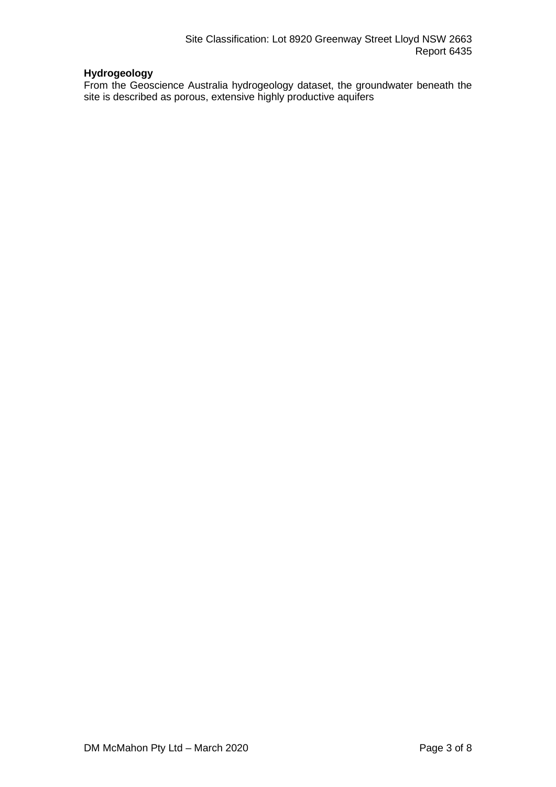# **Hydrogeology**

From the Geoscience Australia hydrogeology dataset, the groundwater beneath the site is described as porous, extensive highly productive aquifers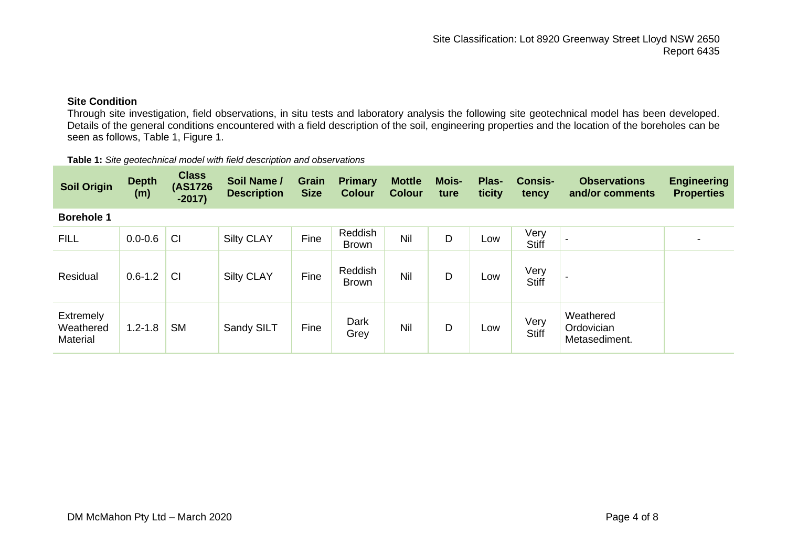**Observations and/or comments** **Engineering Properties**

**Consistency** 

# **Site Condition**

Through site investigation, field observations, in situ tests and laboratory analysis the following site geotechnical model has been developed. Details of the general conditions encountered with a field description of the soil, engineering properties and the location of the boreholes can be seen as follows, Table 1, Figure 1.

| <b>Class</b><br>Soil Name / Grain Primary Mottle Mois-<br>Depth<br>(m)<br><b>Plas-</b><br>$(AS1726 -2017)$<br>Soil Origin<br>Description Size Colour Colour ture ticity |
|-------------------------------------------------------------------------------------------------------------------------------------------------------------------------|
|-------------------------------------------------------------------------------------------------------------------------------------------------------------------------|

**Table 1:** *Site geotechnical model with field description and observations*

#### **Borehole 1**

| <b>FILL</b>                        | $0.0 - 0.6$ | CI        | <b>Silty CLAY</b> | Fine | Reddish<br><b>Brown</b> | Nil        | D | Low | Very<br><b>Stiff</b> |                                          |  |
|------------------------------------|-------------|-----------|-------------------|------|-------------------------|------------|---|-----|----------------------|------------------------------------------|--|
| Residual                           | $0.6 - 1.2$ | <b>CI</b> | <b>Silty CLAY</b> | Fine | Reddish<br><b>Brown</b> | <b>Nil</b> | D | Low | Very<br><b>Stiff</b> | -                                        |  |
| Extremely<br>Weathered<br>Material | $1.2 - 1.8$ | <b>SM</b> | Sandy SILT        | Fine | Dark<br>Grey            | Nil        | D | Low | Very<br><b>Stiff</b> | Weathered<br>Ordovician<br>Metasediment. |  |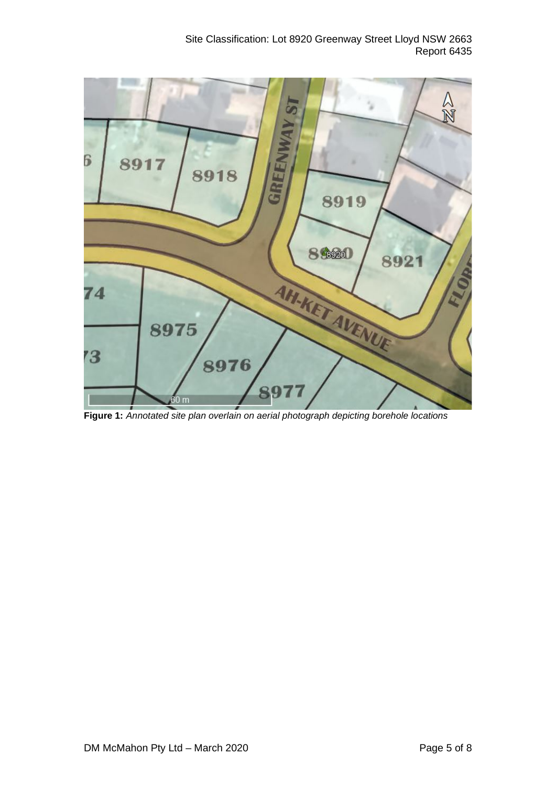Site Classification: Lot 8920 Greenway Street Lloyd NSW 2663 Report 6435



**Figure 1:** *Annotated site plan overlain on aerial photograph depicting borehole locations*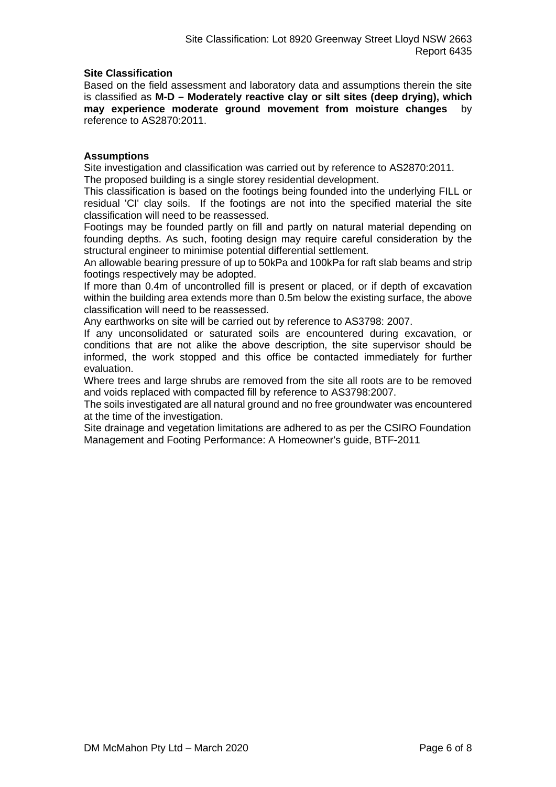# **Site Classification**

Based on the field assessment and laboratory data and assumptions therein the site is classified as **M-D – Moderately reactive clay or silt sites (deep drying), which may experience moderate ground movement from moisture changes** by reference to AS2870:2011.

# **Assumptions**

Site investigation and classification was carried out by reference to AS2870:2011. The proposed building is a single storey residential development.

This classification is based on the footings being founded into the underlying FILL or residual 'CI' clay soils. If the footings are not into the specified material the site classification will need to be reassessed.

Footings may be founded partly on fill and partly on natural material depending on founding depths. As such, footing design may require careful consideration by the structural engineer to minimise potential differential settlement.

An allowable bearing pressure of up to 50kPa and 100kPa for raft slab beams and strip footings respectively may be adopted.

If more than 0.4m of uncontrolled fill is present or placed, or if depth of excavation within the building area extends more than 0.5m below the existing surface, the above classification will need to be reassessed.

Any earthworks on site will be carried out by reference to AS3798: 2007.

If any unconsolidated or saturated soils are encountered during excavation, or conditions that are not alike the above description, the site supervisor should be informed, the work stopped and this office be contacted immediately for further evaluation.

Where trees and large shrubs are removed from the site all roots are to be removed and voids replaced with compacted fill by reference to AS3798:2007.

The soils investigated are all natural ground and no free groundwater was encountered at the time of the investigation.

Site drainage and vegetation limitations are adhered to as per the CSIRO Foundation Management and Footing Performance: A Homeowner's guide, BTF-2011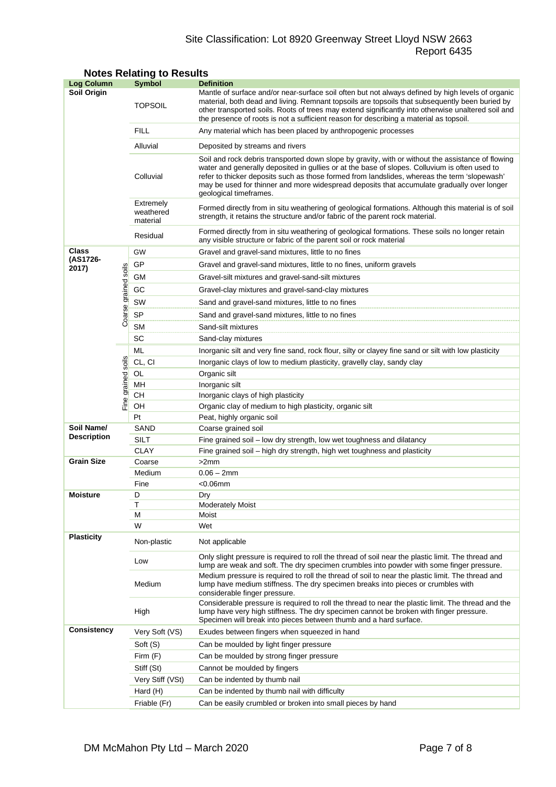# Site Classification: Lot 8920 Greenway Street Lloyd NSW 2663 Report 6435

| <b>Log Column</b>                |                      | Symbol                             | <b>Definition</b>                                                                                                                                                                                                                                                                                                                                                                                                          |  |  |
|----------------------------------|----------------------|------------------------------------|----------------------------------------------------------------------------------------------------------------------------------------------------------------------------------------------------------------------------------------------------------------------------------------------------------------------------------------------------------------------------------------------------------------------------|--|--|
| Soil Origin                      |                      | <b>TOPSOIL</b>                     | Mantle of surface and/or near-surface soil often but not always defined by high levels of organic<br>material, both dead and living. Remnant topsoils are topsoils that subsequently been buried by<br>other transported soils. Roots of trees may extend significantly into otherwise unaltered soil and<br>the presence of roots is not a sufficient reason for describing a material as topsoil.                        |  |  |
|                                  |                      | <b>FILL</b>                        | Any material which has been placed by anthropogenic processes                                                                                                                                                                                                                                                                                                                                                              |  |  |
|                                  |                      | Alluvial                           | Deposited by streams and rivers                                                                                                                                                                                                                                                                                                                                                                                            |  |  |
|                                  |                      | Colluvial                          | Soil and rock debris transported down slope by gravity, with or without the assistance of flowing<br>water and generally deposited in gullies or at the base of slopes. Colluvium is often used to<br>refer to thicker deposits such as those formed from landslides, whereas the term 'slopewash'<br>may be used for thinner and more widespread deposits that accumulate gradually over longer<br>geological timeframes. |  |  |
|                                  |                      | Extremely<br>weathered<br>material | Formed directly from in situ weathering of geological formations. Although this material is of soil<br>strength, it retains the structure and/or fabric of the parent rock material.                                                                                                                                                                                                                                       |  |  |
|                                  |                      | Residual                           | Formed directly from in situ weathering of geological formations. These soils no longer retain<br>any visible structure or fabric of the parent soil or rock material                                                                                                                                                                                                                                                      |  |  |
| Class                            |                      | GW                                 | Gravel and gravel-sand mixtures, little to no fines                                                                                                                                                                                                                                                                                                                                                                        |  |  |
| (AS1726-<br>2017)                |                      | GP                                 | Gravel and gravel-sand mixtures, little to no fines, uniform gravels                                                                                                                                                                                                                                                                                                                                                       |  |  |
|                                  |                      | GМ                                 | Gravel-silt mixtures and gravel-sand-silt mixtures                                                                                                                                                                                                                                                                                                                                                                         |  |  |
|                                  |                      | GC                                 | Gravel-clay mixtures and gravel-sand-clay mixtures                                                                                                                                                                                                                                                                                                                                                                         |  |  |
|                                  |                      | SW                                 | Sand and gravel-sand mixtures, little to no fines                                                                                                                                                                                                                                                                                                                                                                          |  |  |
|                                  |                      | SP                                 |                                                                                                                                                                                                                                                                                                                                                                                                                            |  |  |
|                                  | Coarse grained soils | <b>SM</b>                          | Sand and gravel-sand mixtures, little to no fines                                                                                                                                                                                                                                                                                                                                                                          |  |  |
|                                  |                      | SC                                 | Sand-silt mixtures                                                                                                                                                                                                                                                                                                                                                                                                         |  |  |
|                                  |                      | ML                                 | Sand-clay mixtures                                                                                                                                                                                                                                                                                                                                                                                                         |  |  |
|                                  |                      |                                    | Inorganic silt and very fine sand, rock flour, silty or clayey fine sand or silt with low plasticity                                                                                                                                                                                                                                                                                                                       |  |  |
|                                  |                      | CL, CI                             | Inorganic clays of low to medium plasticity, gravelly clay, sandy clay                                                                                                                                                                                                                                                                                                                                                     |  |  |
|                                  | Fine grained soils   | OL<br>MH                           | Organic silt                                                                                                                                                                                                                                                                                                                                                                                                               |  |  |
|                                  |                      | CН                                 | Inorganic silt<br>Inorganic clays of high plasticity                                                                                                                                                                                                                                                                                                                                                                       |  |  |
|                                  |                      | OH                                 | Organic clay of medium to high plasticity, organic silt                                                                                                                                                                                                                                                                                                                                                                    |  |  |
|                                  |                      | Pt                                 | Peat, highly organic soil                                                                                                                                                                                                                                                                                                                                                                                                  |  |  |
| Soil Name/<br><b>Description</b> |                      | SAND                               | Coarse grained soil                                                                                                                                                                                                                                                                                                                                                                                                        |  |  |
|                                  |                      | SILT                               | Fine grained soil - low dry strength, low wet toughness and dilatancy                                                                                                                                                                                                                                                                                                                                                      |  |  |
|                                  |                      | <b>CLAY</b>                        | Fine grained soil – high dry strength, high wet toughness and plasticity                                                                                                                                                                                                                                                                                                                                                   |  |  |
| <b>Grain Size</b>                |                      | Coarse                             | >2mm                                                                                                                                                                                                                                                                                                                                                                                                                       |  |  |
|                                  |                      | Medium                             | $0.06 - 2mm$                                                                                                                                                                                                                                                                                                                                                                                                               |  |  |
|                                  |                      | Fine                               | $<$ 0.06 $mm$                                                                                                                                                                                                                                                                                                                                                                                                              |  |  |
| <b>Moisture</b>                  |                      | D                                  | Drv                                                                                                                                                                                                                                                                                                                                                                                                                        |  |  |
|                                  |                      | Τ                                  | <b>Moderately Moist</b><br>Moist                                                                                                                                                                                                                                                                                                                                                                                           |  |  |
|                                  |                      | м<br>W                             | Wet                                                                                                                                                                                                                                                                                                                                                                                                                        |  |  |
| <b>Plasticity</b>                |                      | Non-plastic                        | Not applicable                                                                                                                                                                                                                                                                                                                                                                                                             |  |  |
|                                  |                      | Low                                | Only slight pressure is required to roll the thread of soil near the plastic limit. The thread and<br>lump are weak and soft. The dry specimen crumbles into powder with some finger pressure.                                                                                                                                                                                                                             |  |  |
|                                  |                      | Medium                             | Medium pressure is required to roll the thread of soil to near the plastic limit. The thread and<br>lump have medium stiffness. The dry specimen breaks into pieces or crumbles with<br>considerable finger pressure.                                                                                                                                                                                                      |  |  |
|                                  |                      | High                               | Considerable pressure is required to roll the thread to near the plastic limit. The thread and the<br>lump have very high stiffness. The dry specimen cannot be broken with finger pressure.<br>Specimen will break into pieces between thumb and a hard surface.                                                                                                                                                          |  |  |
| <b>Consistency</b>               |                      | Very Soft (VS)                     | Exudes between fingers when squeezed in hand                                                                                                                                                                                                                                                                                                                                                                               |  |  |
|                                  |                      | Soft (S)                           | Can be moulded by light finger pressure                                                                                                                                                                                                                                                                                                                                                                                    |  |  |
|                                  |                      | Firm (F)                           | Can be moulded by strong finger pressure                                                                                                                                                                                                                                                                                                                                                                                   |  |  |
|                                  |                      | Stiff (St)                         | Cannot be moulded by fingers                                                                                                                                                                                                                                                                                                                                                                                               |  |  |
|                                  |                      | Very Stiff (VSt)                   | Can be indented by thumb nail                                                                                                                                                                                                                                                                                                                                                                                              |  |  |
|                                  |                      | Hard (H)                           | Can be indented by thumb nail with difficulty                                                                                                                                                                                                                                                                                                                                                                              |  |  |
|                                  |                      | Friable (Fr)                       | Can be easily crumbled or broken into small pieces by hand                                                                                                                                                                                                                                                                                                                                                                 |  |  |

# **Notes Relating to Results**